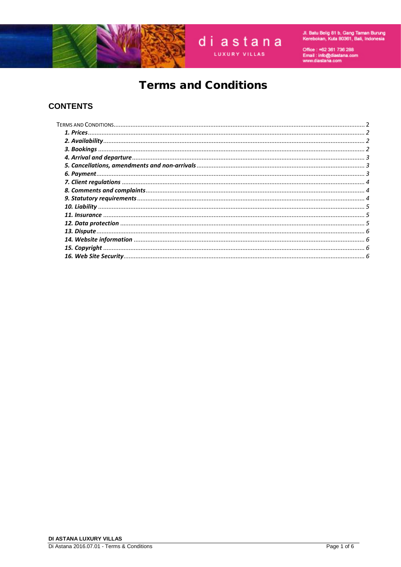

# diastana **LUXURY VILLAS**

Jl. Batu Belig 81 b, Gang Taman Burung<br>Kerebokan, Kuta 80361, Bali, Indonesia

Office : +62 361 736 288<br>Email : info@diastana.com<br>www.diastana.com

# **Terms and Conditions**

### **CONTENTS**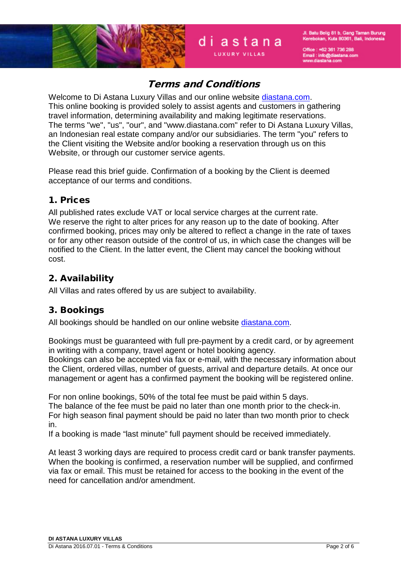



diastana

Office: +62 361 736 288 Email : info@diastana.com<br>Email : info@diastana.com

# Terms and Conditions

<span id="page-1-0"></span>Welcome to Di Astana Luxury Villas and our online website diastana.com. This online booking is provided solely to assist agents and customers in gathering travel information, determining availability and making legitimate reservations. The terms "we", "us", "our", and "www.diastana.com" refer to Di Astana Luxury Villas, an Indonesian real estate company and/or our subsidiaries. The term "you" refers to the Client visiting the Website and/or booking a reservation through us on this Website, or through our customer service agents.

Please read this brief guide. Confirmation of a booking by the Client is deemed acceptance of our terms and conditions.

### <span id="page-1-1"></span>1. Prices

All published rates exclude VAT or local service charges at the current rate. We reserve the right to alter prices for any reason up to the date of booking. After confirmed booking, prices may only be altered to reflect a change in the rate of taxes or for any other reason outside of the control of us, in which case the changes will be notified to the Client. In the latter event, the Client may cancel the booking without cost.

### <span id="page-1-2"></span>2. Availability

<span id="page-1-3"></span>All Villas and rates offered by us are subject to availability.

### 3. Bookings

All bookings should be handled on our online website [diastana.com.](http://www.diastana.com/)

Bookings must be guaranteed with full pre-payment by a credit card, or by agreement in writing with a company, travel agent or hotel booking agency.

Bookings can also be accepted via fax or e-mail, with the necessary information about the Client, ordered villas, number of guests, arrival and departure details. At once our management or agent has a confirmed payment the booking will be registered online.

For non online bookings, 50% of the total fee must be paid within 5 days.

The balance of the fee must be paid no later than one month prior to the check-in. For high season final payment should be paid no later than two month prior to check in.

If a booking is made "last minute" full payment should be received immediately.

<span id="page-1-4"></span>At least 3 working days are required to process credit card or bank transfer payments. When the booking is confirmed, a reservation number will be supplied, and confirmed via fax or email. This must be retained for access to the booking in the event of the need for cancellation and/or amendment.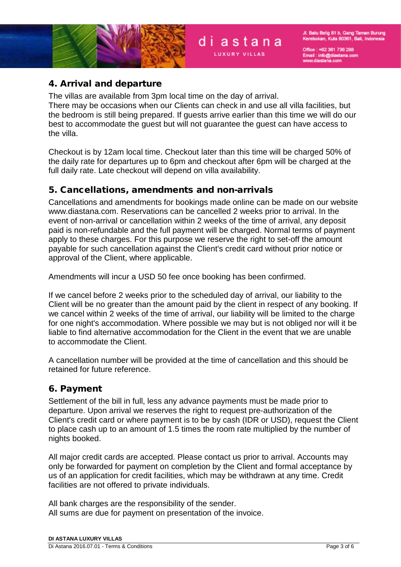Office: +62 361 736 288 Email: info@diastana.com<br>www.diastana.com



### 4. Arrival and departure

The villas are available from 3pm local time on the day of arrival. There may be occasions when our Clients can check in and use all villa facilities, but the bedroom is still being prepared. If guests arrive earlier than this time we will do our best to accommodate the guest but will not guarantee the guest can have access to the villa.

diastana

Checkout is by 12am local time. Checkout later than this time will be charged 50% of the daily rate for departures up to 6pm and checkout after 6pm will be charged at the full daily rate. Late checkout will depend on villa availability.

### <span id="page-2-0"></span>5. Cancellations, amendments and non-arrivals

Cancellations and amendments for bookings made online can be made on our website www.diastana.com. Reservations can be cancelled 2 weeks prior to arrival. In the event of non-arrival or cancellation within 2 weeks of the time of arrival, any deposit paid is non-refundable and the full payment will be charged. Normal terms of payment apply to these charges. For this purpose we reserve the right to set-off the amount payable for such cancellation against the Client's credit card without prior notice or approval of the Client, where applicable.

Amendments will incur a USD 50 fee once booking has been confirmed.

If we cancel before 2 weeks prior to the scheduled day of arrival, our liability to the Client will be no greater than the amount paid by the client in respect of any booking. If we cancel within 2 weeks of the time of arrival, our liability will be limited to the charge for one night's accommodation. Where possible we may but is not obliged nor will it be liable to find alternative accommodation for the Client in the event that we are unable to accommodate the Client.

A cancellation number will be provided at the time of cancellation and this should be retained for future reference.

# <span id="page-2-1"></span>6. Payment

Settlement of the bill in full, less any advance payments must be made prior to departure. Upon arrival we reserves the right to request pre-authorization of the Client's credit card or where payment is to be by cash (IDR or USD), request the Client to place cash up to an amount of 1.5 times the room rate multiplied by the number of nights booked.

All major credit cards are accepted. Please contact us prior to arrival. Accounts may only be forwarded for payment on completion by the Client and formal acceptance by us of an application for credit facilities, which may be withdrawn at any time. Credit facilities are not offered to private individuals.

All bank charges are the responsibility of the sender. All sums are due for payment on presentation of the invoice.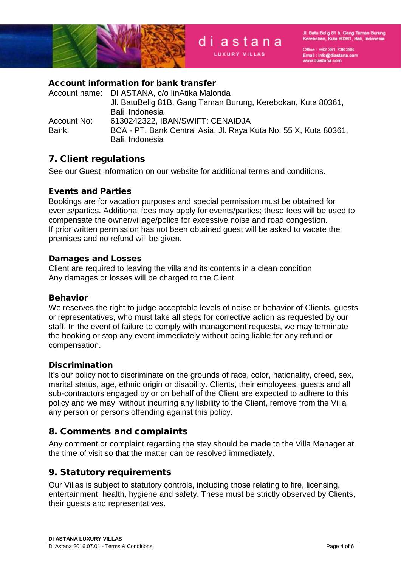

Office: +62 361 736 288 Email : info@diastana.com<br>Email : info@diastana.com



### Account information for bank transfer

|             | Account name: DI ASTANA, c/o linAtika Malonda                    |
|-------------|------------------------------------------------------------------|
|             | Jl. BatuBelig 81B, Gang Taman Burung, Kerebokan, Kuta 80361,     |
|             | Bali, Indonesia                                                  |
| Account No: | 6130242322, IBAN/SWIFT: CENAIDJA                                 |
| Bank:       | BCA - PT. Bank Central Asia, Jl. Raya Kuta No. 55 X, Kuta 80361, |
|             | Bali, Indonesia                                                  |

diastana

### <span id="page-3-0"></span>7. Client regulations

See our Guest Information on our website for additional terms and conditions.

#### Events and Parties

Bookings are for vacation purposes and special permission must be obtained for events/parties. Additional fees may apply for events/parties; these fees will be used to compensate the owner/village/police for excessive noise and road congestion. If prior written permission has not been obtained guest will be asked to vacate the premises and no refund will be given.

#### Damages and Losses

Client are required to leaving the villa and its contents in a clean condition. Any damages or losses will be charged to the Client.

#### Behavior

We reserves the right to judge acceptable levels of noise or behavior of Clients, guests or representatives, who must take all steps for corrective action as requested by our staff. In the event of failure to comply with management requests, we may terminate the booking or stop any event immediately without being liable for any refund or compensation.

#### **Discrimination**

It's our policy not to discriminate on the grounds of race, color, nationality, creed, sex, marital status, age, ethnic origin or disability. Clients, their employees, guests and all sub-contractors engaged by or on behalf of the Client are expected to adhere to this policy and we may, without incurring any liability to the Client, remove from the Villa any person or persons offending against this policy.

### <span id="page-3-1"></span>8. Comments and complaints

Any comment or complaint regarding the stay should be made to the Villa Manager at the time of visit so that the matter can be resolved immediately.

### <span id="page-3-2"></span>9. Statutory requirements

Our Villas is subject to statutory controls, including those relating to fire, licensing, entertainment, health, hygiene and safety. These must be strictly observed by Clients, their guests and representatives.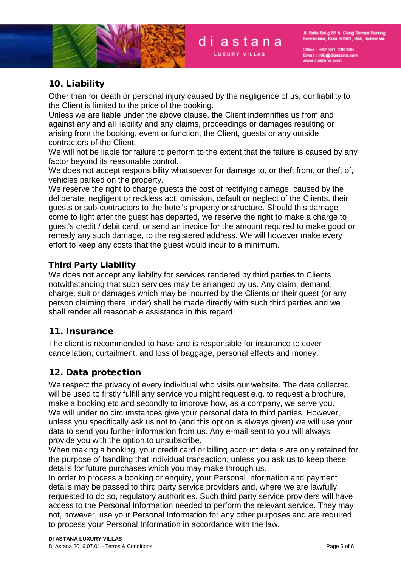

Office: +62 361 736 288 Email : info@diastana.com<br>Email : info@diastana.com

## <span id="page-4-0"></span>10. Liability

Other than for death or personal injury caused by the negligence of us, our liability to the Client is limited to the price of the booking.

Unless we are liable under the above clause, the Client indemnifies us from and against any and all liability and any claims, proceedings or damages resulting or arising from the booking, event or function, the Client, guests or any outside contractors of the Client.

We will not be liable for failure to perform to the extent that the failure is caused by any factor beyond its reasonable control.

We does not accept responsibility whatsoever for damage to, or theft from, or theft of, vehicles parked on the property.

We reserve the right to charge guests the cost of rectifying damage, caused by the deliberate, negligent or reckless act, omission, default or neglect of the Clients, their guests or sub-contractors to the hotel's property or structure. Should this damage come to light after the guest has departed, we reserve the right to make a charge to guest's credit / debit card, or send an invoice for the amount required to make good or remedy any such damage, to the registered address. We will however make every effort to keep any costs that the guest would incur to a minimum.

### Third Party Liability

We does not accept any liability for services rendered by third parties to Clients notwithstanding that such services may be arranged by us. Any claim, demand, charge, suit or damages which may be incurred by the Clients or their guest (or any person claiming there under) shall be made directly with such third parties and we shall render all reasonable assistance in this regard.

### <span id="page-4-1"></span>11. Insurance

The client is recommended to have and is responsible for insurance to cover cancellation, curtailment, and loss of baggage, personal effects and money.

### <span id="page-4-2"></span>12. Data protection

We respect the privacy of every individual who visits our website. The data collected will be used to firstly fulfill any service you might request e.g. to request a brochure, make a booking etc and secondly to improve how, as a company, we serve you. We will under no circumstances give your personal data to third parties. However, unless you specifically ask us not to (and this option is always given) we will use your data to send you further information from us. Any e-mail sent to you will always provide you with the option to unsubscribe.

When making a booking, your credit card or billing account details are only retained for the purpose of handling that individual transaction, unless you ask us to keep these details for future purchases which you may make through us.

In order to process a booking or enquiry, your Personal Information and payment details may be passed to third party service providers and, where we are lawfully requested to do so, regulatory authorities. Such third party service providers will have access to the Personal Information needed to perform the relevant service. They may not, however, use your Personal Information for any other purposes and are required to process your Personal Information in accordance with the law.